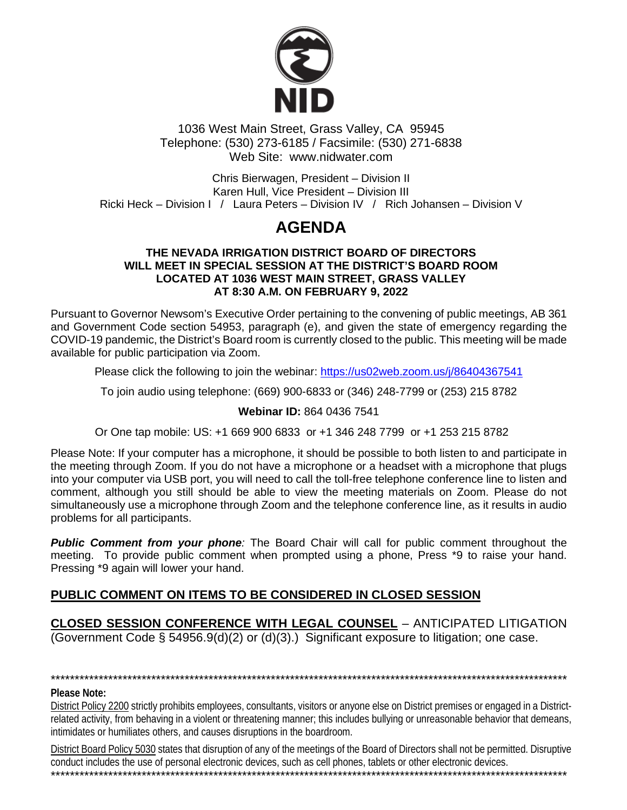

1036 West Main Street, Grass Valley, CA 95945 Telephone: (530) 273-6185 / Facsimile: (530) 271-6838 Web Site: www.nidwater.com

Chris Bierwagen, President - Division II Karen Hull, Vice President - Division III Ricki Heck – Division I / Laura Peters – Division IV / Rich Johansen – Division V

# **AGENDA**

#### THE NEVADA IRRIGATION DISTRICT BOARD OF DIRECTORS WILL MEET IN SPECIAL SESSION AT THE DISTRICT'S BOARD ROOM **LOCATED AT 1036 WEST MAIN STREET, GRASS VALLEY** AT 8:30 A.M. ON FEBRUARY 9, 2022

Pursuant to Governor Newsom's Executive Order pertaining to the convening of public meetings, AB 361 and Government Code section 54953, paragraph (e), and given the state of emergency regarding the COVID-19 pandemic, the District's Board room is currently closed to the public. This meeting will be made available for public participation via Zoom.

Please click the following to join the webinar: https://us02web.zoom.us/j/86404367541

To join audio using telephone: (669) 900-6833 or (346) 248-7799 or (253) 215 8782

#### Webinar ID: 864 0436 7541

### Or One tap mobile: US: +1 669 900 6833 or +1 346 248 7799 or +1 253 215 8782

Please Note: If your computer has a microphone, it should be possible to both listen to and participate in the meeting through Zoom. If you do not have a microphone or a headset with a microphone that plugs into your computer via USB port, you will need to call the toll-free telephone conference line to listen and comment, although you still should be able to view the meeting materials on Zoom. Please do not simultaneously use a microphone through Zoom and the telephone conference line, as it results in audio problems for all participants.

**Public Comment from your phone:** The Board Chair will call for public comment throughout the meeting. To provide public comment when prompted using a phone. Press \*9 to raise your hand. Pressing \*9 again will lower your hand.

## PUBLIC COMMENT ON ITEMS TO BE CONSIDERED IN CLOSED SESSION

**CLOSED SESSION CONFERENCE WITH LEGAL COUNSEL - ANTICIPATED LITIGATION** Government Code § 54956.9(d)(2) or (d)(3).) Significant exposure to litigation; one case.

# 

#### Please Note:

District Policy 2200 strictly prohibits employees, consultants, visitors or anyone else on District premises or engaged in a Districtrelated activity, from behaving in a violent or threatening manner; this includes bullying or unreasonable behavior that demeans, intimidates or humiliates others, and causes disruptions in the boardroom.

District Board Policy 5030 states that disruption of any of the meetings of the Board of Directors shall not be permitted. Disruptive conduct includes the use of personal electronic devices, such as cell phones, tablets or other electronic devices.